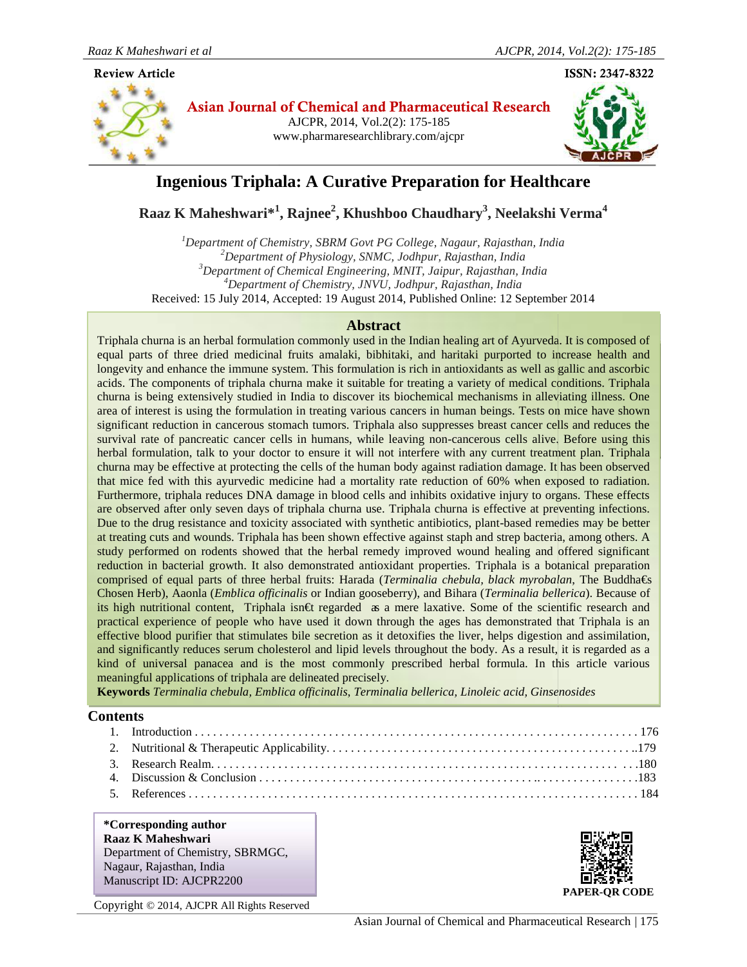#### **Article**



**Asian Journal of Chemical and Pharmaceutical Research** AJCPR, 2014, Vol.2(2): 175-185 www.pharmaresearchlibrary.com/ajcpr



# **Ingenious Triphala: A Curative Preparation for Healthcare**

 $\bold{R}$ aaz K Maheshwari $^{*1}$ , Rajnee $^{2}$ , Khushboo Chaudhary $^{3}$ , Neelakshi Verma $^{4}$ 

<sup>1</sup>Department of Chemistry, SBRM Govt PG College, Nagaur, Rajasthan, India *<sup>2</sup>Department of Physiology, SNMC, Jodhpur, Rajasthan, India <sup>3</sup>Department of Chemical Engineering, MNIT, Jaipur, Rajasthan, India* <sup>4</sup>Department of Chemistry, JNVU, Jodhpur, Rajasthan, India Received: 15 July 2014, Accepted: 19 August 2014, Published Online: 12 September 2014

### **Abstract**

equal parts of three dried medicinal fruits amalaki, bibhitaki, and haritaki purported to increase health and longevity and enhance the immune system. This formulation is rich in antioxidants as well as gallic and ascorbic acids. The components of triphala churna make it suitable for treating a variety of medical conditions. Triphala churna is being extensively studied in India to discover its biochemical mechanisms in alleviating illness. One area of interest is using the formulation in treating various cancers in human beings. Tests on mice have shown significant reduction in cancerous stomach tumors. Triphala also suppresses breast cancer cells and reduces the survival rate of pancreatic cancer cells in humans, while leaving non-cancerous cells alive. Before using this Triphala churna is an herbal formulation commonly used in the Indian healing art of Ayurveda. It is composed of significant reduction in cancerous stomach tumors. Triphala also suppresses breast cancer cells and reduces the<br>survival rate of pancreatic cancer cells in humans, while leaving non-cancerous cells alive. Before using this churna may be effective at protecting the cells of the human body against radiation damage. It has been observed that mice fed with this ayurvedic medicine had a mortality rate reduction of 60% when exposed to radiation. Furthermore, triphala reduces DNA damage in blood cells and inhibits oxidative injury to organs. These effects are observed after only seven days of triphala churna use. Triphala churna is effective at preventing infections. Due to the drug resistance and toxicity associated with synthetic antibiotics, plant-based remedies may be better at treating cuts and wounds. Triphala has been shown effective against staph and strep bacteria, among others. A study performed on rodents showed that the herbal remedy improved wound healing and offered significant reduction in bacterial growth. It also demonstrated antioxidant properties. Triphala is a botanical preparation comprised of equal parts of three herbal fruits: Harada (*Terminalia chebula, black myrobalan*, The Buddha€s Chosen Herb), Aaonla (*Emblica officinalis* or Indian gooseberry), and Bihara (*Terminalia bellerica*). Because of its high nutritional content, Triphala isn€t regarded as a mere laxative. Some of the scientific research and practical experience of people who have used it down through the ages has demonstrated that Triphala is an effective blood purifier that stimulates bile secretion as it detoxifies the liver, helps digestion and assimilation, and significantly reduces serum cholesterol and lipid levels throughout the body. As a result, it is regarded as a kind of universal panacea and is the most commonly prescribed herbal formula. In this article various meaningful applications of triphala are delineated precisely. 2d: 15 July 2014, Accepted: 19 August 2014, Published Online: 12 September 2014<br>
an herbal formulation commonly used in the Indian healing art of Ayurveda. It is composed of<br>
an herbal formulation commonly used in the Ind Iongevily and enhance the immune system. This formulation is rich in antioxidants as the constraints being extensively studed in India to discover its biochemical mechanisms regriffered in the remedies and is being extensi in the Ayurveda. It is composed of arts of three dried medicinal fruits amalaki, bibhitaki, and haritaki purported to increase health and ty and enhance the immune system. This formulation is rich in antioxidants as well a urna may be effective at protecting the cells of the human body against radiation damage. It has been observed<br>at mice fed with this ayurvedic medicine had a mortality rate reduction of 60% when exposed to radiation.<br>rthe Sum Herb), Aaonla (*Emblica officinalis* or Indian gooseberry), and Bihara (*Terminalia bellerica*). Because igh nutritional content, Triphala isn $\epsilon$ t regarded **a** a mere laxative. Some of the scientific research as it di Figure 11 and the secretion as it detoxifies the liver, helps digestion and reduces serum cholesterol and lipid levels throughout the body. As a result, it I panacea and is the most commonly prescribed herbal formula. In t

**Keywords** *Terminalia chebula, Emblica officinalis*, *Terminalia bellerica, Linoleic acid, Ginsenosides*

# **Contents**

#### **\*Corresponding author Raaz K Maheshwari** Department of Chemistry, SBRMGC, Nagaur, Rajasthan, India Manuscript ID: AJCPR2200



Copyright © 2014, AJCPR All Rights Reserved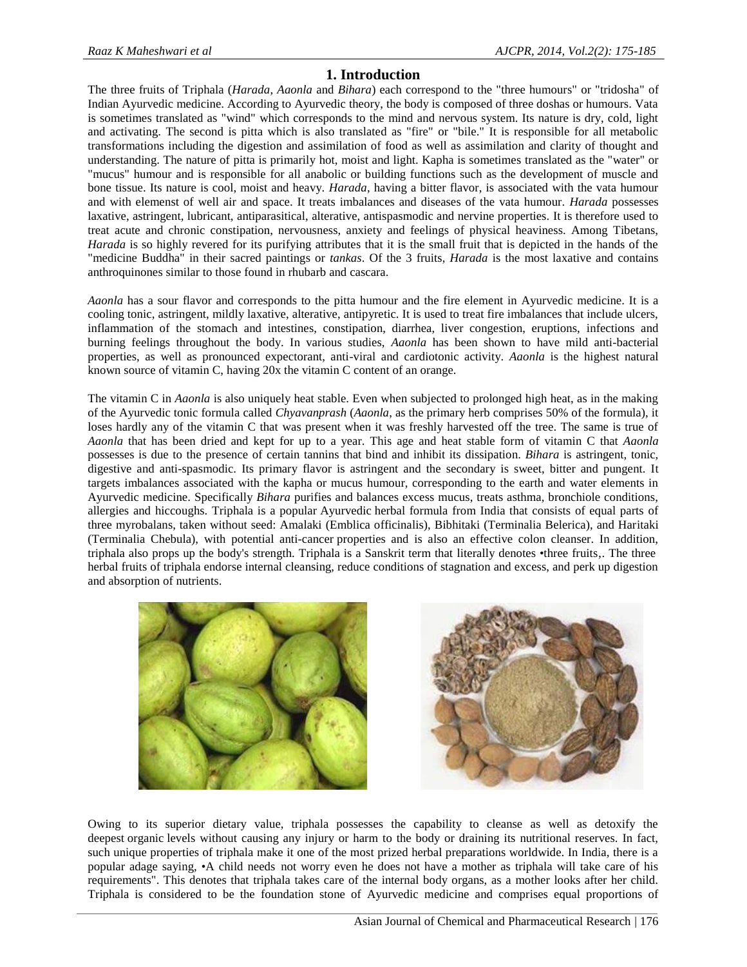# **1. Introduction**

The three fruits of Triphala (*Harada*, *Aaonla* and *Bihara*) each correspond to the "three humours" or "tridosha" of Indian Ayurvedic medicine. According to Ayurvedic theory, the body is composed of three doshas or humours. Vata is sometimes translated as "wind" which corresponds to the mind and nervous system. Its nature is dry, cold, light and activating. The second is pitta which is also translated as "fire" or "bile." It is responsible for all metabolic transformations including the digestion and assimilation of food as well as assimilation and clarity of thought and understanding. The nature of pitta is primarily hot, moist and light. Kapha is sometimes translated as the "water" or "mucus" humour and is responsible for all anabolic or building functions such as the development of muscle and bone tissue. Its nature is cool, moist and heavy. *Harada*, having a bitter flavor, is associated with the vata humour and with elemenst of well air and space. It treats imbalances and diseases of the vata humour. *Harada* possesses laxative, astringent, lubricant, antiparasitical, alterative, antispasmodic and nervine properties. It is therefore used to treat acute and chronic constipation, nervousness, anxiety and feelings of physical heaviness. Among Tibetans, *Harada* is so highly revered for its purifying attributes that it is the small fruit that is depicted in the hands of the "medicine Buddha" in their sacred paintings or *tankas*. Of the 3 fruits, *Harada* is the most laxative and contains anthroquinones similar to those found in rhubarb and cascara.

*Aaonla* has a sour flavor and corresponds to the pitta humour and the fire element in Ayurvedic medicine. It is a cooling tonic, astringent, mildly laxative, alterative, antipyretic. It is used to treat fire imbalances that include ulcers, inflammation of the stomach and intestines, constipation, diarrhea, liver congestion, eruptions, infections and burning feelings throughout the body. In various studies, *Aaonla* has been shown to have mild anti-bacterial properties, as well as pronounced expectorant, anti-viral and cardiotonic activity. *Aaonla* is the highest natural known source of vitamin C, having 20x the vitamin C content of an orange.

The vitamin C in *Aaonla* is also uniquely heat stable. Even when subjected to prolonged high heat, as in the making of the Ayurvedic tonic formula called *Chyavanprash* (*Aaonla*, as the primary herb comprises 50% of the formula), it loses hardly any of the vitamin C that was present when it was freshly harvested off the tree. The same is true of *Aaonla* that has been dried and kept for up to a year. This age and heat stable form of vitamin C that *Aaonla* possesses is due to the presence of certain tannins that bind and inhibit its dissipation. *Bihara* is astringent, tonic, digestive and anti-spasmodic. Its primary flavor is astringent and the secondary is sweet, bitter and pungent. It targets imbalances associated with the kapha or mucus humour, corresponding to the earth and water elements in Ayurvedic medicine. Specifically *Bihara* purifies and balances excess mucus, treats asthma, bronchiole conditions, allergies and hiccoughs. Triphala is a popular Ayurvedic herbal formula from India that consists of equal parts of three myrobalans, taken without seed: Amalaki (Emblica officinalis), Bibhitaki (Terminalia Belerica), and Haritaki (Terminalia Chebula), with potential anti-cancer properties and is also an effective colon cleanser. In addition, triphala also props up the body's strength. Triphala is a Sanskrit term that literally denotes •three fruits,. The three herbal fruits of triphala endorse internal cleansing, reduce conditions of stagnation and excess, and perk up digestion and absorption of nutrients.



Owing to its superior dietary value, triphala possesses the capability to cleanse as well as detoxify the deepest organic levels without causing any injury or harm to the body or draining its nutritional reserves. In fact, such unique properties of triphala make it one of the most prized herbal preparations worldwide. In India, there is a popular adage saying, •A child needs not worry even he does not have a mother as triphala will take care of his requirements". This denotes that triphala takes care of the internal body organs, as a mother looks after her child. Triphala is considered to be the foundation stone of Ayurvedic medicine and comprises equal proportions of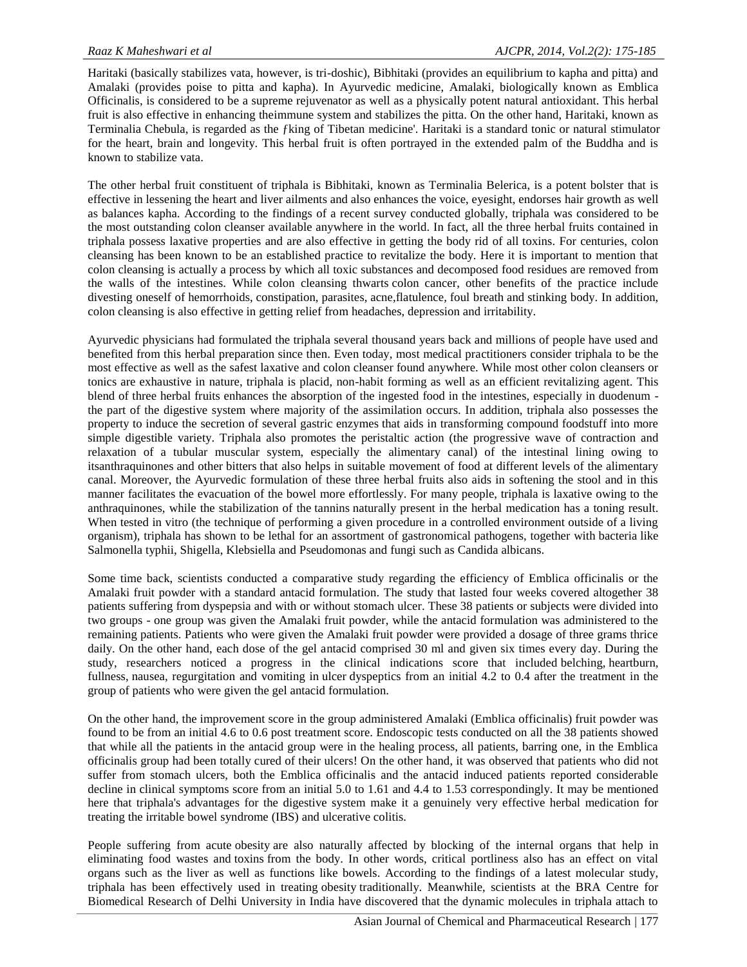Haritaki (basically stabilizes vata, however, is tri-doshic), Bibhitaki (provides an equilibrium to kapha and pitta) and Amalaki (provides poise to pitta and kapha). In Ayurvedic medicine, Amalaki, biologically known as Emblica Officinalis, is considered to be a supreme rejuvenator as well as a physically potent natural antioxidant. This herbal fruit is also effective in enhancing theimmune system and stabilizes the pitta. On the other hand, Haritaki, known as Terminalia Chebula, is regarded as the ƒking of Tibetan medicine'. Haritaki is a standard tonic or natural stimulator for the heart, brain and longevity. This herbal fruit is often portrayed in the extended palm of the Buddha and is known to stabilize vata.

The other herbal fruit constituent of triphala is Bibhitaki, known as Terminalia Belerica, is a potent bolster that is effective in lessening the heart and liver ailments and also enhances the voice, eyesight, endorses hair growth as well as balances kapha. According to the findings of a recent survey conducted globally, triphala was considered to be the most outstanding colon cleanser available anywhere in the world. In fact, all the three herbal fruits contained in triphala possess laxative properties and are also effective in getting the body rid of all toxins. For centuries, colon cleansing has been known to be an established practice to revitalize the body. Here it is important to mention that colon cleansing is actually a process by which all toxic substances and decomposed food residues are removed from the walls of the intestines. While colon cleansing thwarts colon cancer, other benefits of the practice include divesting oneself of hemorrhoids, constipation, parasites, acne,flatulence, foul breath and stinking body. In addition, colon cleansing is also effective in getting relief from headaches, depression and irritability.

Ayurvedic physicians had formulated the triphala several thousand years back and millions of people have used and benefited from this herbal preparation since then. Even today, most medical practitioners consider triphala to be the most effective as well as the safest laxative and colon cleanser found anywhere. While most other colon cleansers or tonics are exhaustive in nature, triphala is placid, non-habit forming as well as an efficient revitalizing agent. This blend of three herbal fruits enhances the absorption of the ingested food in the intestines, especially in duodenum the part of the digestive system where majority of the assimilation occurs. In addition, triphala also possesses the property to induce the secretion of several gastric enzymes that aids in transforming compound foodstuff into more simple digestible variety. Triphala also promotes the peristaltic action (the progressive wave of contraction and relaxation of a tubular muscular system, especially the alimentary canal) of the intestinal lining owing to itsanthraquinones and other bitters that also helps in suitable movement of food at different levels of the alimentary canal. Moreover, the Ayurvedic formulation of these three herbal fruits also aids in softening the stool and in this manner facilitates the evacuation of the bowel more effortlessly. For many people, triphala is laxative owing to the anthraquinones, while the stabilization of the tannins naturally present in the herbal medication has a toning result. When tested in vitro (the technique of performing a given procedure in a controlled environment outside of a living organism), triphala has shown to be lethal for an assortment of gastronomical pathogens, together with bacteria like Salmonella typhii, Shigella, Klebsiella and Pseudomonas and fungi such as Candida albicans.

Some time back, scientists conducted a comparative study regarding the efficiency of Emblica officinalis or the Amalaki fruit powder with a standard antacid formulation. The study that lasted four weeks covered altogether 38 patients suffering from dyspepsia and with or without stomach ulcer. These 38 patients or subjects were divided into two groups - one group was given the Amalaki fruit powder, while the antacid formulation was administered to the remaining patients. Patients who were given the Amalaki fruit powder were provided a dosage of three grams thrice daily. On the other hand, each dose of the gel antacid comprised 30 ml and given six times every day. During the study, researchers noticed a progress in the clinical indications score that included belching, heartburn, fullness, nausea, regurgitation and vomiting in ulcer dyspeptics from an initial 4.2 to 0.4 after the treatment in the group of patients who were given the gel antacid formulation.

On the other hand, the improvement score in the group administered Amalaki (Emblica officinalis) fruit powder was found to be from an initial 4.6 to 0.6 post treatment score. Endoscopic tests conducted on all the 38 patients showed that while all the patients in the antacid group were in the healing process, all patients, barring one, in the Emblica officinalis group had been totally cured of their ulcers! On the other hand, it was observed that patients who did not suffer from stomach ulcers, both the Emblica officinalis and the antacid induced patients reported considerable decline in clinical symptoms score from an initial 5.0 to 1.61 and 4.4 to 1.53 correspondingly. It may be mentioned here that triphala's advantages for the digestive system make it a genuinely very effective herbal medication for treating the irritable bowel syndrome (IBS) and ulcerative colitis.

People suffering from acute obesity are also naturally affected by blocking of the internal organs that help in eliminating food wastes and toxins from the body. In other words, critical portliness also has an effect on vital organs such as the liver as well as functions like bowels. According to the findings of a latest molecular study, triphala has been effectively used in treating obesity traditionally. Meanwhile, scientists at the BRA Centre for Biomedical Research of Delhi University in India have discovered that the dynamic molecules in triphala attach to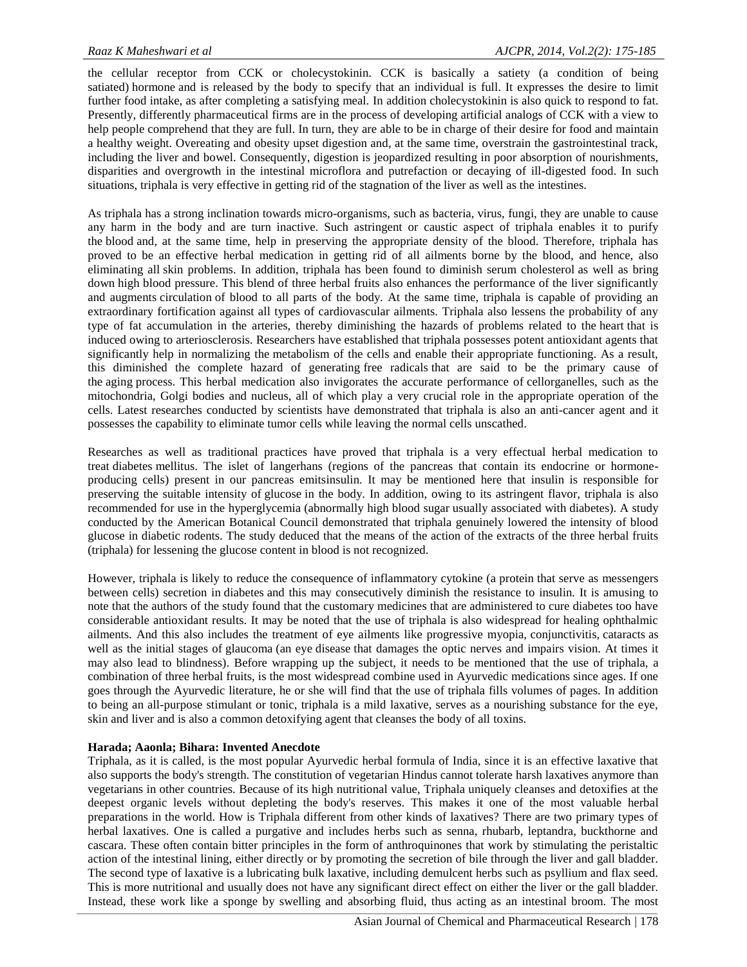the cellular receptor from CCK or cholecystokinin. CCK is basically a satiety (a condition of being satiated) hormone and is released by the body to specify that an individual is full. It expresses the desire to limit further food intake, as after completing a satisfying meal. In addition cholecystokinin is also quick to respond to fat. Presently, differently pharmaceutical firms are in the process of developing artificial analogs of CCK with a view to help people comprehend that they are full. In turn, they are able to be in charge of their desire for food and maintain a healthy weight. Overeating and obesity upset digestion and, at the same time, overstrain the gastrointestinal track, including the liver and bowel. Consequently, digestion is jeopardized resulting in poor absorption of nourishments, disparities and overgrowth in the intestinal microflora and putrefaction or decaying of ill-digested food. In such situations, triphala is very effective in getting rid of the stagnation of the liver as well as the intestines.

As triphala has a strong inclination towards micro-organisms, such as bacteria, virus, fungi, they are unable to cause any harm in the body and are turn inactive. Such astringent or caustic aspect of triphala enables it to purify the blood and, at the same time, help in preserving the appropriate density of the blood. Therefore, triphala has proved to be an effective herbal medication in getting rid of all ailments borne by the blood, and hence, also eliminating all skin problems. In addition, triphala has been found to diminish serum cholesterol as well as bring down high blood pressure. This blend of three herbal fruits also enhances the performance of the liver significantly and augments circulation of blood to all parts of the body. At the same time, triphala is capable of providing an extraordinary fortification against all types of cardiovascular ailments. Triphala also lessens the probability of any type of fat accumulation in the arteries, thereby diminishing the hazards of problems related to the heart that is induced owing to arteriosclerosis. Researchers have established that triphala possesses potent antioxidant agents that significantly help in normalizing the metabolism of the cells and enable their appropriate functioning. As a result, this diminished the complete hazard of generating free radicals that are said to be the primary cause of the aging process. This herbal medication also invigorates the accurate performance of cellorganelles, such as the mitochondria, Golgi bodies and nucleus, all of which play a very crucial role in the appropriate operation of the cells. Latest researches conducted by scientists have demonstrated that triphala is also an anti-cancer agent and it possesses the capability to eliminate tumor cells while leaving the normal cells unscathed.

Researches as well as traditional practices have proved that triphala is a very effectual herbal medication to treat diabetes mellitus. The islet of langerhans (regions of the pancreas that contain its endocrine or hormone producing cells) present in our pancreas emitsinsulin. It may be mentioned here that insulin is responsible for preserving the suitable intensity of glucose in the body. In addition, owing to its astringent flavor, triphala is also recommended for use in the hyperglycemia (abnormally high blood sugar usually associated with diabetes). A study conducted by the American Botanical Council demonstrated that triphala genuinely lowered the intensity of blood glucose in diabetic rodents. The study deduced that the means of the action of the extracts of the three herbal fruits (triphala) for lessening the glucose content in blood is not recognized.

However, triphala is likely to reduce the consequence of inflammatory cytokine (a protein that serve as messengers between cells) secretion in diabetes and this may consecutively diminish the resistance to insulin. It is amusing to note that the authors of the study found that the customary medicines that are administered to cure diabetes too have considerable antioxidant results. It may be noted that the use of triphala is also widespread for healing ophthalmic ailments. And this also includes the treatment of eye ailments like progressive myopia, conjunctivitis, cataracts as well as the initial stages of glaucoma (an eye disease that damages the optic nerves and impairs vision. At times it may also lead to blindness). Before wrapping up the subject, it needs to be mentioned that the use of triphala, a combination of three herbal fruits, is the most widespread combine used in Ayurvedic medications since ages. If one goes through the Ayurvedic literature, he or she will find that the use of triphala fills volumes of pages. In addition to being an all-purpose stimulant or tonic, triphala is a mild laxative, serves as a nourishing substance for the eye, skin and liver and is also a common detoxifying agent that cleanses the body of all toxins.

#### **Harada; Aaonla; Bihara: Invented Anecdote**

Triphala, as it is called, is the most popular Ayurvedic herbal formula of India, since it is an effective laxative that also supports the body's strength. The constitution of vegetarian Hindus cannot tolerate harsh laxatives anymore than vegetarians in other countries. Because of its high nutritional value, Triphala uniquely cleanses and detoxifies at the deepest organic levels without depleting the body's reserves. This makes it one of the most valuable herbal preparations in the world. How is Triphala different from other kinds of laxatives? There are two primary types of herbal laxatives. One is called a purgative and includes herbs such as senna, rhubarb, leptandra, buckthorne and cascara. These often contain bitter principles in the form of anthroquinones that work by stimulating the peristaltic action of the intestinal lining, either directly or by promoting the secretion of bile through the liver and gall bladder. The second type of laxative is a lubricating bulk laxative, including demulcent herbs such as psyllium and flax seed. This is more nutritional and usually does not have any significant direct effect on either the liver or the gall bladder. Instead, these work like a sponge by swelling and absorbing fluid, thus acting as an intestinal broom. The most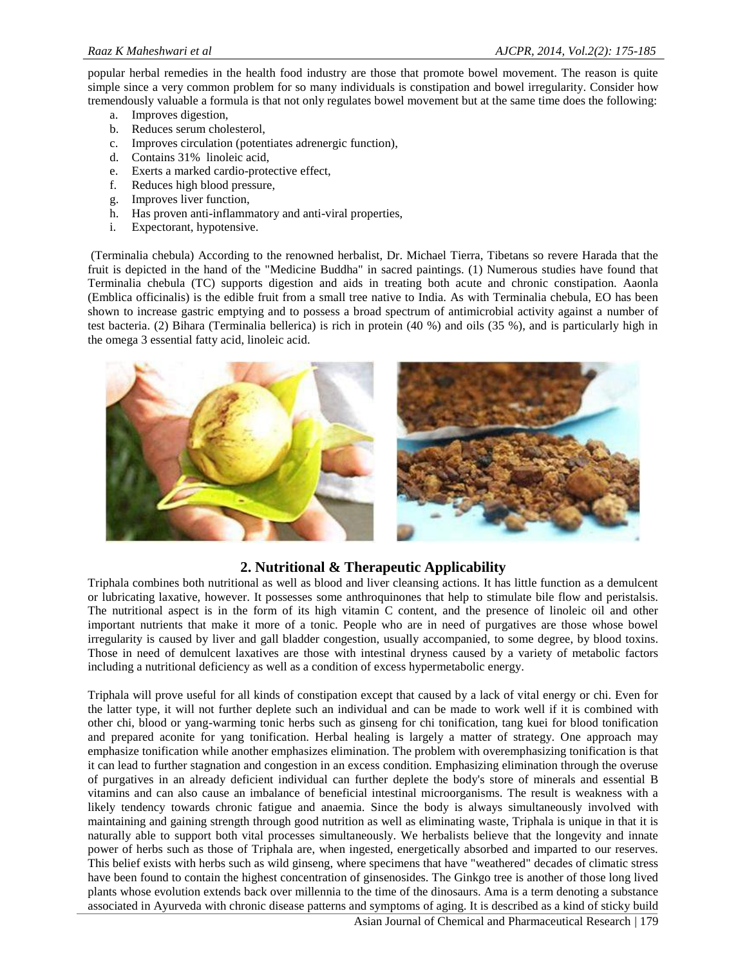popular herbal remedies in the health food industry are those that promote bowel movement. The reason is quite simple since a very common problem for so many individuals is constipation and bowel irregularity. Consider how tremendously valuable a formula is that not only regulates bowel movement but at the same time does the following:

- a. Improves digestion,
- b. Reduces serum cholesterol,
- c. Improves circulation (potentiates adrenergic function),
- d. Contains 31% linoleic acid,
- e. Exerts a marked cardio-protective effect,
- f. Reduces high blood pressure,
- g. Improves liver function,
- h. Has proven anti-inflammatory and anti-viral properties,
- i. Expectorant, hypotensive.

(Terminalia chebula) According to the renowned herbalist, Dr. Michael Tierra, Tibetans so revere Harada that the fruit is depicted in the hand of the "Medicine Buddha" in sacred paintings. (1) Numerous studies have found that Terminalia chebula (TC) supports digestion and aids in treating both acute and chronic constipation. Aaonla (Emblica officinalis) is the edible fruit from a small tree native to India. As with Terminalia chebula, EO has been shown to increase gastric emptying and to possess a broad spectrum of antimicrobial activity against a number of test bacteria. (2) Bihara (Terminalia bellerica) is rich in protein (40 %) and oils (35 %), and is particularly high in the omega 3 essential fatty acid, linoleic acid.



# **2. Nutritional & Therapeutic Applicability**

Triphala combines both nutritional as well as blood and liver cleansing actions. It has little function as a demulcent or lubricating laxative, however. It possesses some anthroquinones that help to stimulate bile flow and peristalsis. The nutritional aspect is in the form of its high vitamin C content, and the presence of linoleic oil and other important nutrients that make it more of a tonic. People who are in need of purgatives are those whose bowel irregularity is caused by liver and gall bladder congestion, usually accompanied, to some degree, by blood toxins. Those in need of demulcent laxatives are those with intestinal dryness caused by a variety of metabolic factors including a nutritional deficiency as well as a condition of excess hypermetabolic energy.

Triphala will prove useful for all kinds of constipation except that caused by a lack of vital energy or chi. Even for the latter type, it will not further deplete such an individual and can be made to work well if it is combined with other chi, blood or yang-warming tonic herbs such as ginseng for chi tonification, tang kuei for blood tonification and prepared aconite for yang tonification. Herbal healing is largely a matter of strategy. One approach may emphasize tonification while another emphasizes elimination. The problem with overemphasizing tonification is that it can lead to further stagnation and congestion in an excess condition. Emphasizing elimination through the overuse of purgatives in an already deficient individual can further deplete the body's store of minerals and essential B vitamins and can also cause an imbalance of beneficial intestinal microorganisms. The result is weakness with a likely tendency towards chronic fatigue and anaemia. Since the body is always simultaneously involved with maintaining and gaining strength through good nutrition as well as eliminating waste, Triphala is unique in that it is naturally able to support both vital processes simultaneously. We herbalists believe that the longevity and innate power of herbs such as those of Triphala are, when ingested, energetically absorbed and imparted to our reserves. This belief exists with herbs such as wild ginseng, where specimens that have "weathered" decades of climatic stress have been found to contain the highest concentration of ginsenosides. The Ginkgo tree is another of those long lived plants whose evolution extends back over millennia to the time of the dinosaurs. Ama is a term denoting a substance associated in Ayurveda with chronic disease patterns and symptoms of aging. It is described as a kind of sticky build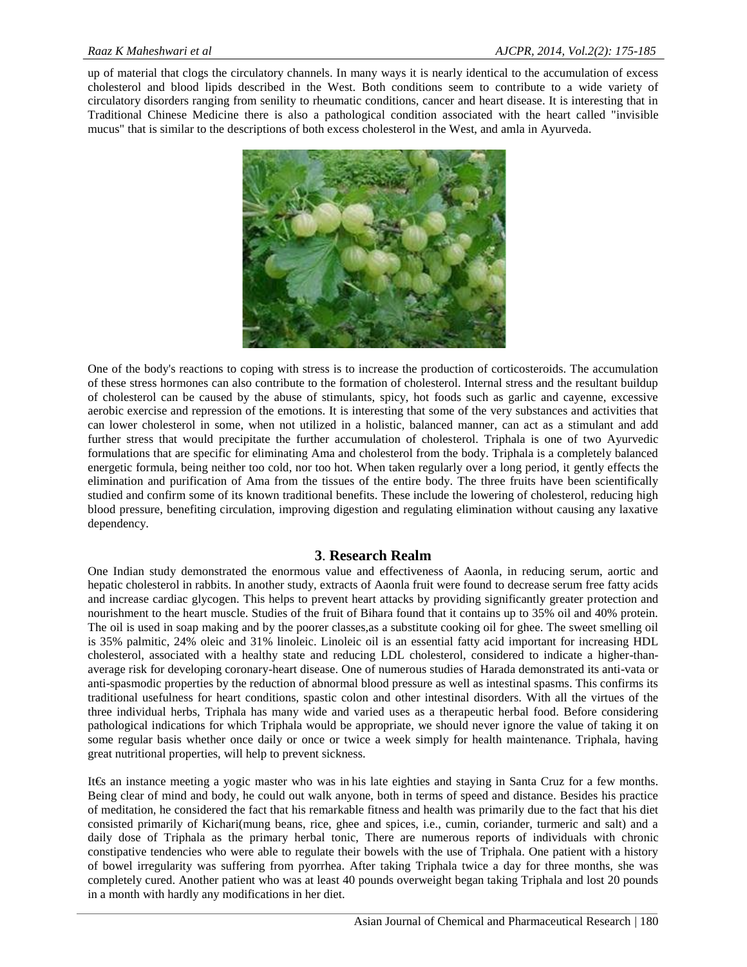up of material that clogs the circulatory channels. In many ways it is nearly identical to the accumulation of excess cholesterol and blood lipids described in the West. Both conditions seem to contribute to a wide variety of circulatory disorders ranging from senility to rheumatic conditions, cancer and heart disease. It is interesting that in Traditional Chinese Medicine there is also a pathological condition associated with the heart called "invisible mucus" that is similar to the descriptions of both excess cholesterol in the West, and amla in Ayurveda.



One of the body's reactions to coping with stress is to increase the production of corticosteroids. The accumulation of these stress hormones can also contribute to the formation of cholesterol. Internal stress and the resultant buildup of cholesterol can be caused by the abuse of stimulants, spicy, hot foods such as garlic and cayenne, excessive aerobic exercise and repression of the emotions. It is interesting that some of the very substances and activities that can lower cholesterol in some, when not utilized in a holistic, balanced manner, can act as a stimulant and add further stress that would precipitate the further accumulation of cholesterol. Triphala is one of two Ayurvedic formulations that are specific for eliminating Ama and cholesterol from the body. Triphala is a completely balanced energetic formula, being neither too cold, nor too hot. When taken regularly over a long period, it gently effects the elimination and purification of Ama from the tissues of the entire body. The three fruits have been scientifically studied and confirm some of its known traditional benefits. These include the lowering of cholesterol, reducing high blood pressure, benefiting circulation, improving digestion and regulating elimination without causing any laxative dependency.

#### **3**. **Research Realm**

One Indian study demonstrated the enormous value and effectiveness of Aaonla, in reducing serum, aortic and hepatic cholesterol in rabbits. In another study, extracts of Aaonla fruit were found to decrease serum free fatty acids and increase cardiac glycogen. This helps to prevent heart attacks by providing significantly greater protection and nourishment to the heart muscle. Studies of the fruit of Bihara found that it contains up to 35% oil and 40% protein. The oil is used in soap making and by the poorer classes,as a substitute cooking oil for ghee. The sweet smelling oil is 35% palmitic, 24% oleic and 31% linoleic. Linoleic oil is an essential fatty acid important for increasing HDL cholesterol, associated with a healthy state and reducing LDL cholesterol, considered to indicate a higher-than average risk for developing coronary-heart disease. One of numerous studies of Harada demonstrated its anti-vata or anti-spasmodic properties by the reduction of abnormal blood pressure as well as intestinal spasms. This confirms its traditional usefulness for heart conditions, spastic colon and other intestinal disorders. With all the virtues of the three individual herbs, Triphala has many wide and varied uses as a therapeutic herbal food. Before considering pathological indications for which Triphala would be appropriate, we should never ignore the value of taking it on some regular basis whether once daily or once or twice a week simply for health maintenance. Triphala, having great nutritional properties, will help to prevent sickness.

It€s an instance meeting a yogic master who was inhis late eighties and staying in Santa Cruz for a few months. Being clear of mind and body, he could out walk anyone, both in terms of speed and distance. Besides his practice of meditation, he considered the fact that his remarkable fitness and health was primarily due to the fact that his diet consisted primarily of Kichari(mung beans, rice, ghee and spices, i.e., cumin, coriander, turmeric and salt) and a daily dose of Triphala as the primary herbal tonic, There are numerous reports of individuals with chronic constipative tendencies who were able to regulate their bowels with the use of Triphala. One patient with a history of bowel irregularity was suffering from pyorrhea. After taking Triphala twice a day for three months, she was completely cured. Another patient who was at least 40 pounds overweight began taking Triphala and lost 20 pounds in a month with hardly any modifications in her diet.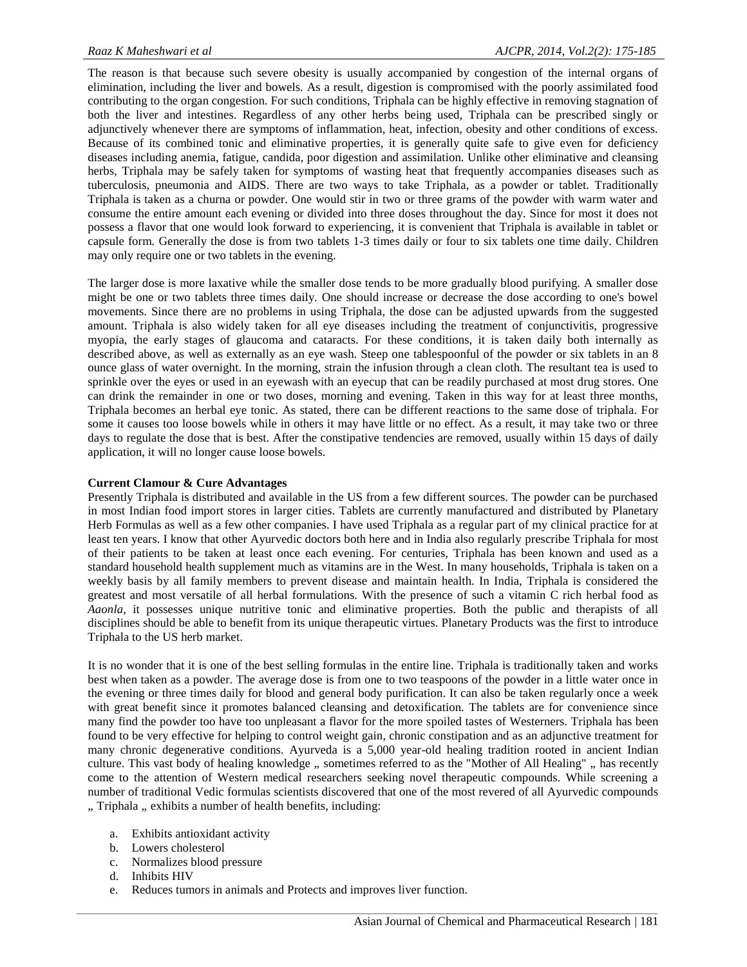The reason is that because such severe obesity is usually accompanied by congestion of the internal organs of elimination, including the liver and bowels. As a result, digestion is compromised with the poorly assimilated food contributing to the organ congestion. For such conditions, Triphala can be highly effective in removing stagnation of both the liver and intestines. Regardless of any other herbs being used, Triphala can be prescribed singly or adjunctively whenever there are symptoms of inflammation, heat, infection, obesity and other conditions of excess. Because of its combined tonic and eliminative properties, it is generally quite safe to give even for deficiency diseases including anemia, fatigue, candida, poor digestion and assimilation. Unlike other eliminative and cleansing herbs, Triphala may be safely taken for symptoms of wasting heat that frequently accompanies diseases such as tuberculosis, pneumonia and AIDS. There are two ways to take Triphala, as a powder or tablet. Traditionally Triphala is taken as a churna or powder. One would stir in two or three grams of the powder with warm water and consume the entire amount each evening or divided into three doses throughout the day. Since for most it does not possess a flavor that one would look forward to experiencing, it is convenient that Triphala is available in tablet or capsule form. Generally the dose is from two tablets 1-3 times daily or four to six tablets one time daily. Children may only require one or two tablets in the evening.

The larger dose is more laxative while the smaller dose tends to be more gradually blood purifying. A smaller dose might be one or two tablets three times daily. One should increase or decrease the dose according to one's bowel movements. Since there are no problems in using Triphala, the dose can be adjusted upwards from the suggested amount. Triphala is also widely taken for all eye diseases including the treatment of conjunctivitis, progressive myopia, the early stages of glaucoma and cataracts. For these conditions, it is taken daily both internally as described above, as well as externally as an eye wash. Steep one tablespoonful of the powder or six tablets in an 8 ounce glass of water overnight. In the morning, strain the infusion through a clean cloth. The resultant tea is used to sprinkle over the eyes or used in an eyewash with an eyecup that can be readily purchased at most drug stores. One can drink the remainder in one or two doses, morning and evening. Taken in this way for at least three months, Triphala becomes an herbal eye tonic. As stated, there can be different reactions to the same dose of triphala. For some it causes too loose bowels while in others it may have little or no effect. As a result, it may take two or three days to regulate the dose that is best. After the constipative tendencies are removed, usually within 15 days of daily application, it will no longer cause loose bowels.

#### **Current Clamour & Cure Advantages**

Presently Triphala is distributed and available in the US from a few different sources. The powder can be purchased in most Indian food import stores in larger cities. Tablets are currently manufactured and distributed by Planetary Herb Formulas as well as a few other companies. I have used Triphala as a regular part of my clinical practice for at least ten years. I know that other Ayurvedic doctors both here and in India also regularly prescribe Triphala for most of their patients to be taken at least once each evening. For centuries, Triphala has been known and used as a standard household health supplement much as vitamins are in the West. In many households, Triphala is taken on a weekly basis by all family members to prevent disease and maintain health. In India, Triphala is considered the greatest and most versatile of all herbal formulations. With the presence of such a vitamin C rich herbal food as *Aaonla*, it possesses unique nutritive tonic and eliminative properties. Both the public and therapists of all disciplines should be able to benefit from its unique therapeutic virtues. Planetary Products was the first to introduce Triphala to the US herb market.

It is no wonder that it is one of the best selling formulas in the entire line. Triphala is traditionally taken and works best when taken as a powder. The average dose is from one to two teaspoons of the powder in a little water once in the evening or three times daily for blood and general body purification. It can also be taken regularly once a week with great benefit since it promotes balanced cleansing and detoxification. The tablets are for convenience since many find the powder too have too unpleasant a flavor for the more spoiled tastes of Westerners. Triphala has been found to be very effective for helping to control weight gain, chronic constipation and as an adjunctive treatment for many chronic degenerative conditions. Ayurveda is a 5,000 year-old healing tradition rooted in ancient Indian culture. This vast body of healing knowledge  $\mu$  sometimes referred to as the "Mother of All Healing"  $\mu$  has recently come to the attention of Western medical researchers seeking novel therapeutic compounds. While screening a number of traditional Vedic formulas scientists discovered that one of the most revered of all Ayurvedic compounds ", Triphala ", exhibits a number of health benefits, including:

- a. Exhibits antioxidant activity
- b. Lowers cholesterol
- c. Normalizes blood pressure
- d. Inhibits HIV
- e. Reduces tumors in animals and Protects and improves liver function.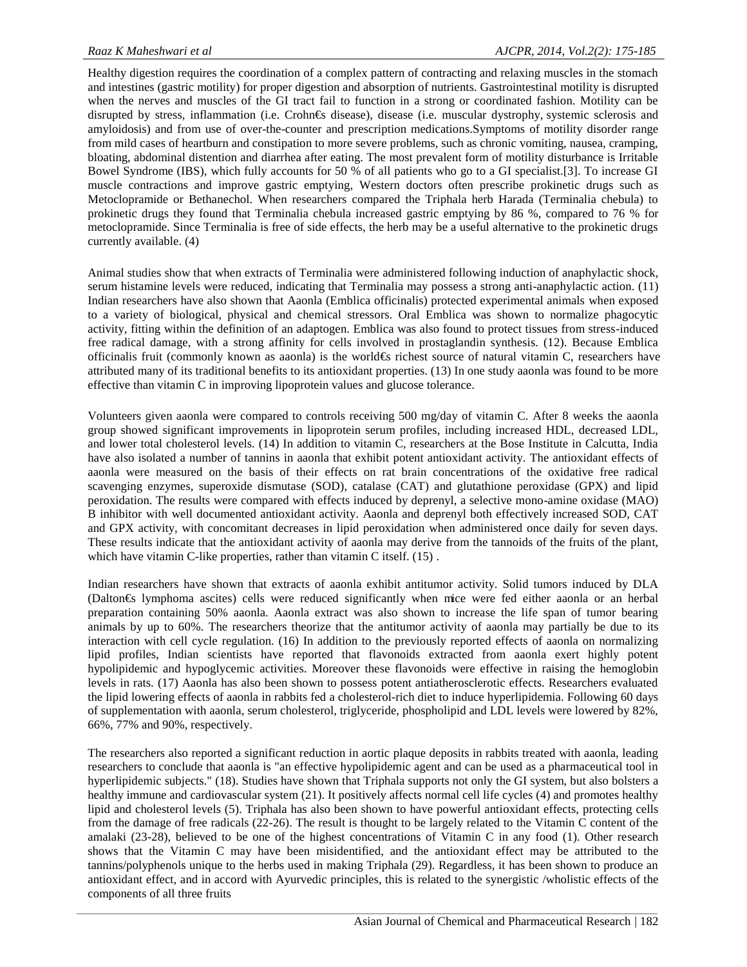Healthy digestion requires the coordination of a complex pattern of contracting and relaxing muscles in the stomach and intestines (gastric motility) for proper digestion and absorption of nutrients. Gastrointestinal motility is disrupted when the nerves and muscles of the GI tract fail to function in a strong or coordinated fashion. Motility can be disrupted by stress, inflammation (i.e. Crohn€s disease), disease (i.e. muscular dystrophy,systemic sclerosis and amyloidosis) and from use of over-the-counter and prescription medications.Symptoms of motility disorder range from mild cases of heartburn and constipation to more severe problems, such as chronic vomiting, nausea, cramping, bloating, abdominal distention and diarrhea after eating. The most prevalent form of motility disturbance is Irritable Bowel Syndrome (IBS), which fully accounts for 50 % of all patients who go to a GI specialist.[3]. To increase GI muscle contractions and improve gastric emptying, Western doctors often prescribe prokinetic drugs such as Metoclopramide or Bethanechol. When researchers compared the Triphala herb Harada (Terminalia chebula) to prokinetic drugs they found that Terminalia chebula increased gastric emptying by 86 %, compared to 76 % for metoclopramide. Since Terminalia is free of side effects, the herb may be a useful alternative to the prokinetic drugs currently available. (4)

Animal studies show that when extracts of Terminalia were administered following induction of anaphylactic shock, serum histamine levels were reduced, indicating that Terminalia may possess a strong anti-anaphylactic action. (11) Indian researchers have also shown that Aaonla (Emblica officinalis) protected experimental animals when exposed to a variety of biological, physical and chemical stressors. Oral Emblica was shown to normalize phagocytic activity, fitting within the definition of an adaptogen. Emblica was also found to protect tissues from stress-induced free radical damage, with a strong affinity for cells involved in prostaglandin synthesis. (12). Because Emblica officinalis fruit (commonly known as aaonla) is the world€s richest source of natural vitamin C, researchers have attributed many of its traditional benefits to its antioxidant properties. (13) In one study aaonla was found to be more effective than vitamin C in improving lipoprotein values and glucose tolerance.

Volunteers given aaonla were compared to controls receiving 500 mg/day of vitamin C. After 8 weeks the aaonla group showed significant improvements in lipoprotein serum profiles, including increased HDL, decreased LDL, and lower total cholesterol levels. (14) In addition to vitamin C, researchers at the Bose Institute in Calcutta, India have also isolated a number of tannins in aaonla that exhibit potent antioxidant activity. The antioxidant effects of aaonla were measured on the basis of their effects on rat brain concentrations of the oxidative free radical scavenging enzymes, superoxide dismutase (SOD), catalase (CAT) and glutathione peroxidase (GPX) and lipid peroxidation. The results were compared with effects induced by deprenyl, a selective mono-amine oxidase (MAO) B inhibitor with well documented antioxidant activity. Aaonla and deprenyl both effectively increased SOD, CAT and GPX activity, with concomitant decreases in lipid peroxidation when administered once daily for seven days. These results indicate that the antioxidant activity of aaonla may derive from the tannoids of the fruits of the plant, which have vitamin C-like properties, rather than vitamin C itself. (15).

Indian researchers have shown that extracts of aaonla exhibit antitumor activity. Solid tumors induced by DLA (Dalton€s lymphoma ascites) cells were reduced significantly when mice were fed either aaonla or an herbal preparation containing 50% aaonla. Aaonla extract was also shown to increase the life span of tumor bearing animals by up to 60%. The researchers theorize that the antitumor activity of aaonla may partially be due to its interaction with cell cycle regulation. (16) In addition to the previously reported effects of aaonla on normalizing lipid profiles, Indian scientists have reported that flavonoids extracted from aaonla exert highly potent hypolipidemic and hypoglycemic activities. Moreover these flavonoids were effective in raising the hemoglobin levels in rats. (17) Aaonla has also been shown to possess potent antiatherosclerotic effects. Researchers evaluated the lipid lowering effects of aaonla in rabbits fed a cholesterol-rich diet to induce hyperlipidemia. Following 60 days of supplementation with aaonla, serum cholesterol, triglyceride, phospholipid and LDL levels were lowered by 82%, 66%, 77% and 90%, respectively.

The researchers also reported a significant reduction in aortic plaque deposits in rabbits treated with aaonla, leading researchers to conclude that aaonla is "an effective hypolipidemic agent and can be used as a pharmaceutical tool in hyperlipidemic subjects." (18). Studies have shown that Triphala supports not only the GI system, but also bolsters a healthy immune and cardiovascular system (21). It positively affects normal cell life cycles (4) and promotes healthy lipid and cholesterol levels (5). Triphala has also been shown to have powerful antioxidant effects, protecting cells from the damage of free radicals (22-26). The result is thought to be largely related to the Vitamin C content of the amalaki (23-28), believed to be one of the highest concentrations of Vitamin C in any food (1). Other research shows that the Vitamin C may have been misidentified, and the antioxidant effect may be attributed to the tannins/polyphenols unique to the herbs used in making Triphala (29). Regardless, it has been shown to produce an antioxidant effect, and in accord with Ayurvedic principles, this is related to the synergistic /wholistic effects of the components of all three fruits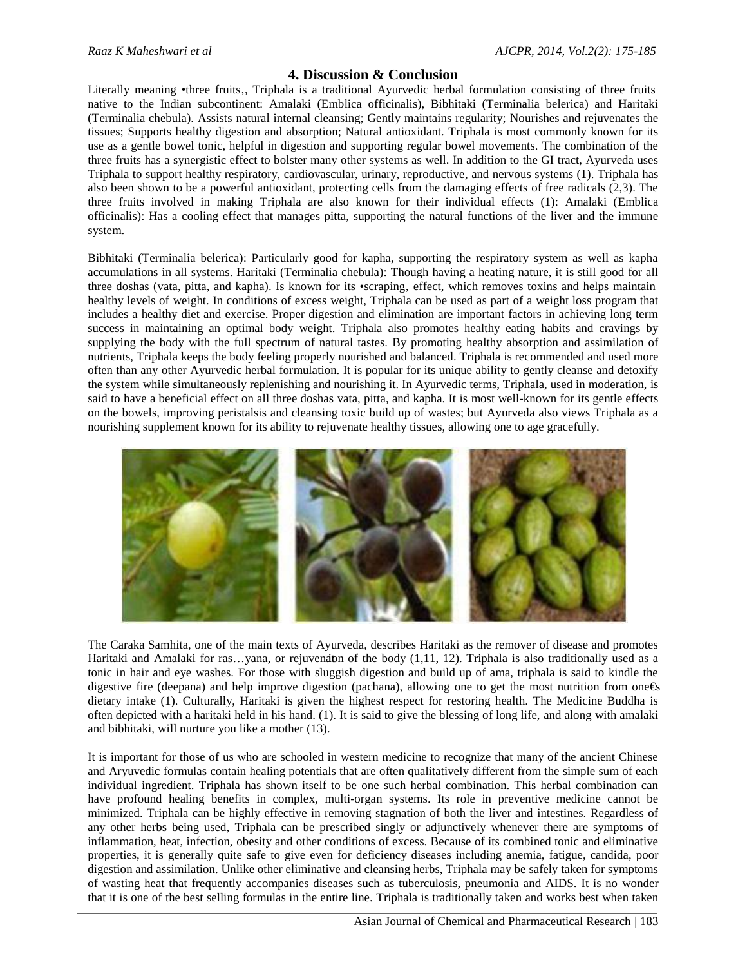# **4. Discussion & Conclusion**

Literally meaning •three fruits, Triphala is a traditional Ayurvedic herbal formulation consisting of three fruits native to the Indian subcontinent: Amalaki (Emblica officinalis), Bibhitaki (Terminalia belerica) and Haritaki (Terminalia chebula). Assists natural internal cleansing; Gently maintains regularity; Nourishes and rejuvenates the tissues; Supports healthy digestion and absorption; Natural antioxidant. Triphala is most commonly known for its use as a gentle bowel tonic, helpful in digestion and supporting regular bowel movements. The combination of the three fruits has a synergistic effect to bolster many other systems as well. In addition to the GI tract, Ayurveda uses Triphala to support healthy respiratory, cardiovascular, urinary, reproductive, and nervous systems (1). Triphala has also been shown to be a powerful antioxidant, protecting cells from the damaging effects of free radicals (2,3). The three fruits involved in making Triphala are also known for their individual effects (1): Amalaki (Emblica officinalis): Has a cooling effect that manages pitta, supporting the natural functions of the liver and the immune system.

Bibhitaki (Terminalia belerica): Particularly good for kapha, supporting the respiratory system as well as kapha accumulations in all systems. Haritaki (Terminalia chebula): Though having a heating nature, it is still good for all three doshas (vata, pitta, and kapha). Is known for its •scraping, effect, which removes toxins and helps maintain healthy levels of weight. In conditions of excess weight, Triphala can be used as part of a weight loss program that includes a healthy diet and exercise. Proper digestion and elimination are important factors in achieving long term success in maintaining an optimal body weight. Triphala also promotes healthy eating habits and cravings by supplying the body with the full spectrum of natural tastes. By promoting healthy absorption and assimilation of nutrients, Triphala keeps the body feeling properly nourished and balanced. Triphala is recommended and used more often than any other Ayurvedic herbal formulation. It is popular for its unique ability to gently cleanse and detoxify the system while simultaneously replenishing and nourishing it. In Ayurvedic terms, Triphala, used in moderation, is said to have a beneficial effect on all three doshas vata, pitta, and kapha. It is most well-known for its gentle effects on the bowels, improving peristalsis and cleansing toxic build up of wastes; but Ayurveda also views Triphala as a nourishing supplement known for its ability to rejuvenate healthy tissues, allowing one to age gracefully.



The Caraka Samhita, one of the main texts of Ayurveda, describes Haritaki as the remover of disease and promotes Haritaki and Amalaki for ras...yana, or rejuvenation of the body  $(1,11, 12)$ . Triphala is also traditionally used as a tonic in hair and eye washes. For those with sluggish digestion and build up of ama, triphala is said to kindle the digestive fire (deepana) and help improve digestion (pachana), allowing one to get the most nutrition from one  $\epsilon$ s dietary intake (1). Culturally, Haritaki is given the highest respect for restoring health. The Medicine Buddha is often depicted with a haritaki held in his hand. (1). It is said to give the blessing of long life, and along with amalaki and bibhitaki, will nurture you like a mother (13).

It is important for those of us who are schooled in western medicine to recognize that many of the ancient Chinese and Aryuvedic formulas contain healing potentials that are often qualitatively different from the simple sum of each individual ingredient. Triphala has shown itself to be one such herbal combination. This herbal combination can have profound healing benefits in complex, multi-organ systems. Its role in preventive medicine cannot be minimized. Triphala can be highly effective in removing stagnation of both the liver and intestines. Regardless of any other herbs being used, Triphala can be prescribed singly or adjunctively whenever there are symptoms of inflammation, heat, infection, obesity and other conditions of excess. Because of its combined tonic and eliminative properties, it is generally quite safe to give even for deficiency diseases including anemia, fatigue, candida, poor digestion and assimilation. Unlike other eliminative and cleansing herbs, Triphala may be safely taken for symptoms of wasting heat that frequently accompanies diseases such as tuberculosis, pneumonia and AIDS. It is no wonder that it is one of the best selling formulas in the entire line. Triphala is traditionally taken and works best when taken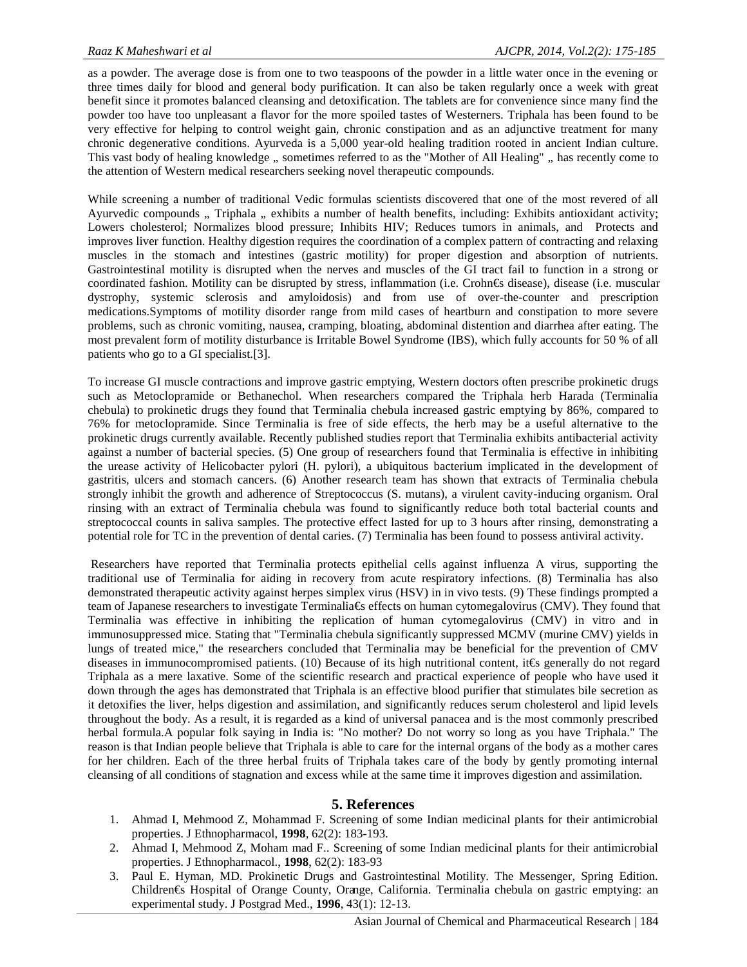as a powder. The average dose is from one to two teaspoons of the powder in a little water once in the evening or three times daily for blood and general body purification. It can also be taken regularly once a week with great benefit since it promotes balanced cleansing and detoxification. The tablets are for convenience since many find the powder too have too unpleasant a flavor for the more spoiled tastes of Westerners. Triphala has been found to be very effective for helping to control weight gain, chronic constipation and as an adjunctive treatment for many chronic degenerative conditions. Ayurveda is a 5,000 year-old healing tradition rooted in ancient Indian culture. This vast body of healing knowledge, sometimes referred to as the "Mother of All Healing", has recently come to the attention of Western medical researchers seeking novel therapeutic compounds.

While screening a number of traditional Vedic formulas scientists discovered that one of the most revered of all Ayurvedic compounds ... Triphala ... exhibits a number of health benefits, including: Exhibits antioxidant activity; Lowers cholesterol; Normalizes blood pressure; Inhibits HIV; Reduces tumors in animals, and Protects and improves liver function. Healthy digestion requires the coordination of a complex pattern of contracting and relaxing muscles in the stomach and intestines (gastric motility) for proper digestion and absorption of nutrients. Gastrointestinal motility is disrupted when the nerves and muscles of the GI tract fail to function in a strong or coordinated fashion. Motility can be disrupted by stress, inflammation (i.e. Crohn€s disease), disease (i.e. muscular dystrophy, systemic sclerosis and amyloidosis) and from use of over-the-counter and prescription medications.Symptoms of motility disorder range from mild cases of heartburn and constipation to more severe problems, such as chronic vomiting, nausea, cramping, bloating, abdominal distention and diarrhea after eating. The most prevalent form of motility disturbance is Irritable Bowel Syndrome (IBS), which fully accounts for 50 % of all patients who go to a GI specialist.[3].

To increase GI muscle contractions and improve gastric emptying, Western doctors often prescribe prokinetic drugs such as Metoclopramide or Bethanechol. When researchers compared the Triphala herb Harada (Terminalia chebula) to prokinetic drugs they found that Terminalia chebula increased gastric emptying by 86%, compared to 76% for metoclopramide. Since Terminalia is free of side effects, the herb may be a useful alternative to the prokinetic drugs currently available. Recently published studies report that Terminalia exhibits antibacterial activity against a number of bacterial species. (5) One group of researchers found that Terminalia is effective in inhibiting the urease activity of Helicobacter pylori (H. pylori), a ubiquitous bacterium implicated in the development of gastritis, ulcers and stomach cancers. (6) Another research team has shown that extracts of Terminalia chebula strongly inhibit the growth and adherence of Streptococcus (S. mutans), a virulent cavity-inducing organism. Oral rinsing with an extract of Terminalia chebula was found to significantly reduce both total bacterial counts and streptococcal counts in saliva samples. The protective effect lasted for up to 3 hours after rinsing, demonstrating a potential role for TC in the prevention of dental caries. (7) Terminalia has been found to possess antiviral activity.

Researchers have reported that Terminalia protects epithelial cells against influenza A virus, supporting the traditional use of Terminalia for aiding in recovery from acute respiratory infections. (8) Terminalia has also demonstrated therapeutic activity against herpes simplex virus (HSV) in in vivo tests. (9) These findings prompted a team of Japanese researchers to investigate Terminalia€s effects on human cytomegalovirus (CMV). They found that Terminalia was effective in inhibiting the replication of human cytomegalovirus (CMV) in vitro and in immunosuppressed mice. Stating that "Terminalia chebula significantly suppressed MCMV (murine CMV) yields in lungs of treated mice," the researchers concluded that Terminalia may be beneficial for the prevention of CMV diseases in immunocompromised patients. (10) Because of its high nutritional content, it€s generally do not regard Triphala as a mere laxative. Some of the scientific research and practical experience of people who have used it down through the ages has demonstrated that Triphala is an effective blood purifier that stimulates bile secretion as it detoxifies the liver, helps digestion and assimilation, and significantly reduces serum cholesterol and lipid levels throughout the body. As a result, it is regarded as a kind of universal panacea and is the most commonly prescribed herbal formula.A popular folk saying in India is: "No mother? Do not worry so long as you have Triphala." The reason is that Indian people believe that Triphala is able to care for the internal organs of the body as a mother cares for her children. Each of the three herbal fruits of Triphala takes care of the body by gently promoting internal cleansing of all conditions of stagnation and excess while at the same time it improves digestion and assimilation.

# **5. References**

- 1. Ahmad I, Mehmood Z, Mohammad F. Screening of some Indian medicinal plants for their antimicrobial properties. J Ethnopharmacol, **1998**, 62(2): 183-193.
- 2. Ahmad I, Mehmood Z, Moham mad F.. Screening of some Indian medicinal plants for their antimicrobial properties. J Ethnopharmacol., **1998**, 62(2): 183-93
- 3. Paul E. Hyman, MD. Prokinetic Drugs and Gastrointestinal Motility. The Messenger, Spring Edition. Children€s Hospital of Orange County, Orange, California. Terminalia chebula on gastric emptying: an experimental study. J Postgrad Med., **1996**, 43(1): 12-13.